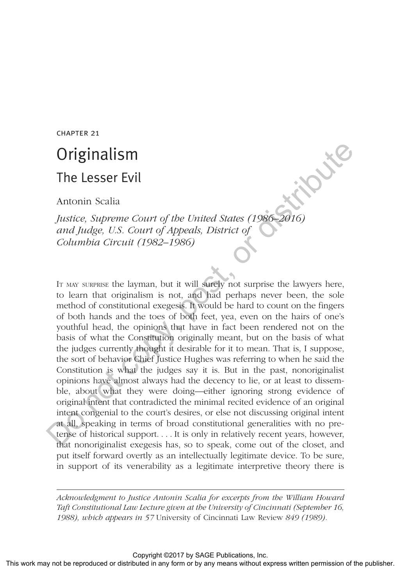chapter 21

## Originalism The Lesser Evil

Antonin Scalia

*Justice, Supreme Court of the United States (1986–2016) and Judge, U.S. Court of Appeals, District of Columbia Circuit (1982–1986)*

It may surprise the layman, but it will surely not surprise the lawyers here, to learn that originalism is not, and had perhaps never been, the sole method of constitutional exegesis. It would be hard to count on the fingers of both hands and the toes of both feet, yea, even on the hairs of one's youthful head, the opinions that have in fact been rendered not on the basis of what the Constitution originally meant, but on the basis of what the judges currently thought it desirable for it to mean. That is, I suppose, the sort of behavior Chief Justice Hughes was referring to when he said the Constitution is what the judges say it is. But in the past, nonoriginalist opinions have almost always had the decency to lie, or at least to dissemble, about what they were doing—either ignoring strong evidence of original intent that contradicted the minimal recited evidence of an original intent congenial to the court's desires, or else not discussing original intent at all, speaking in terms of broad constitutional generalities with no pretense of historical support. . . . It is only in relatively recent years, however, that nonoriginalist exegesis has, so to speak, come out of the closet, and put itself forward overtly as an intellectually legitimate device. To be sure, in support of its venerability as a legitimate interpretive theory there is **Criginalism**<br> **The Lesser Evil**<br>
Antonin Scalia<br> *Justice, Supreme Court of the United States (1986–2016)*<br> *Columbia Circuit (1982–1986)*<br> **Columbia Circuit (1982–1986)**<br> **F** xw somes the layman, but it will surely not

*Acknowledgment to Justice Antonin Scalia for excerpts from the William Howard Taft Constitutional Law Lecture given at the University of Cincinnati (September 16, 1988), which appears in 57* University of Cincinnati Law Review *849 (1989).*

Copyright ©2017 by SAGE Publications, Inc.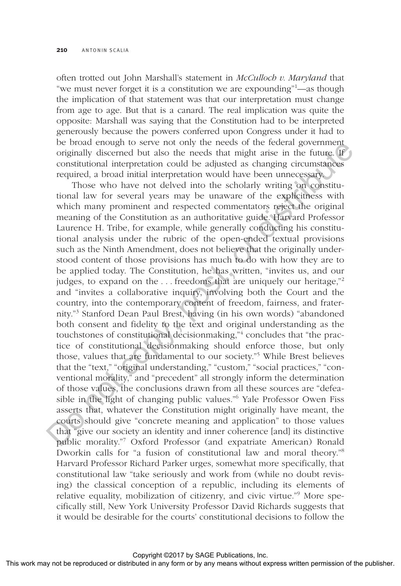often trotted out John Marshall's statement in *McCulloch v. Maryland* that "we must never forget it is a constitution we are expounding"<sup>1</sup>—as though the implication of that statement was that our interpretation must change from age to age. But that is a canard. The real implication was quite the opposite: Marshall was saying that the Constitution had to be interpreted generously because the powers conferred upon Congress under it had to be broad enough to serve not only the needs of the federal government originally discerned but also the needs that might arise in the future. If constitutional interpretation could be adjusted as changing circumstances required, a broad initial interpretation would have been unnecessary.

Those who have not delved into the scholarly writing on constitutional law for several years may be unaware of the explicitness with which many prominent and respected commentators reject the original meaning of the Constitution as an authoritative guide. Harvard Professor Laurence H. Tribe, for example, while generally conducting his constitutional analysis under the rubric of the open-ended textual provisions such as the Ninth Amendment, does not believe that the originally understood content of those provisions has much to do with how they are to be applied today. The Constitution, he has written, "invites us, and our judges, to expand on the ... freedoms that are uniquely our heritage,"<sup>2</sup> and "invites a collaborative inquiry, involving both the Court and the country, into the contemporary content of freedom, fairness, and fraternity."3 Stanford Dean Paul Brest, having (in his own words) "abandoned both consent and fidelity to the text and original understanding as the touchstones of constitutional decisionmaking,"<sup>4</sup> concludes that "the practice of constitutional decisionmaking should enforce those, but only those, values that are fundamental to our society."5 While Brest believes that the "text," "original understanding," "custom," "social practices," "conventional morality," and "precedent" all strongly inform the determination of those values, the conclusions drawn from all these sources are "defeasible in the light of changing public values."6 Yale Professor Owen Fiss asserts that, whatever the Constitution might originally have meant, the courts should give "concrete meaning and application" to those values that "give our society an identity and inner coherence [and] its distinctive public morality."7 Oxford Professor (and expatriate American) Ronald Dworkin calls for "a fusion of constitutional law and moral theory."8 Harvard Professor Richard Parker urges, somewhat more specifically, that constitutional law "take seriously and work from (while no doubt revising) the classical conception of a republic, including its elements of relative equality, mobilization of citizenry, and civic virtue."<sup>9</sup> More specifically still, New York University Professor David Richards suggests that it would be desirable for the courts' constitutional decisions to follow the be total constrained or distributed or distributed in any form of the reproduced or distributed in any form or detective distributed in any means we can be reproduced in a mean dependent or the system of the system or dis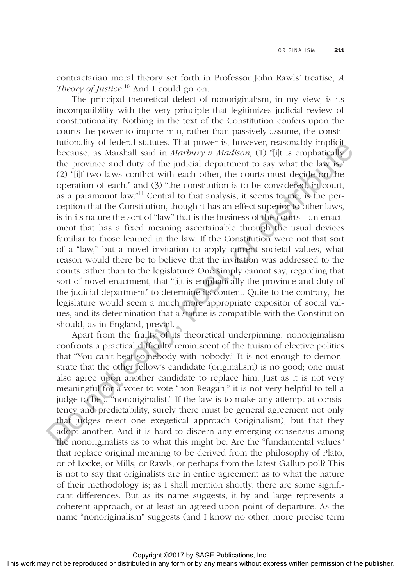contractarian moral theory set forth in Professor John Rawls' treatise, *A Theory of Justice.*10 And I could go on.

The principal theoretical defect of nonoriginalism, in my view, is its incompatibility with the very principle that legitimizes judicial review of constitutionality. Nothing in the text of the Constitution confers upon the courts the power to inquire into, rather than passively assume, the constitutionality of federal statutes. That power is, however, reasonably implicit because, as Marshall said in *Marbury v. Madison,* (1) "[i]t is emphatically the province and duty of the judicial department to say what the law is," (2) "[i]f two laws conflict with each other, the courts must decide on the operation of each," and (3) "the constitution is to be considered, in court, as a paramount law."11 Central to that analysis, it seems to me, is the perception that the Constitution, though it has an effect superior to other laws, is in its nature the sort of "law" that is the business of the courts—an enactment that has a fixed meaning ascertainable through the usual devices familiar to those learned in the law. If the Constitution were not that sort of a "law," but a novel invitation to apply current societal values, what reason would there be to believe that the invitation was addressed to the courts rather than to the legislature? One simply cannot say, regarding that sort of novel enactment, that "[i]t is emphatically the province and duty of the judicial department" to determine its content. Quite to the contrary, the legislature would seem a much more appropriate expositor of social values, and its determination that a statute is compatible with the Constitution should, as in England, prevail.

Apart from the frailty of its theoretical underpinning, nonoriginalism confronts a practical difficulty reminiscent of the truism of elective politics that "You can't beat somebody with nobody." It is not enough to demonstrate that the other fellow's candidate (originalism) is no good; one must also agree upon another candidate to replace him. Just as it is not very meaningful for a voter to vote "non-Reagan," it is not very helpful to tell a judge to be a "nonoriginalist." If the law is to make any attempt at consistency and predictability, surely there must be general agreement not only that judges reject one exegetical approach (originalism), but that they adopt another. And it is hard to discern any emerging consensus among the nonoriginalists as to what this might be. Are the "fundamental values" that replace original meaning to be derived from the philosophy of Plato, or of Locke, or Mills, or Rawls, or perhaps from the latest Gallup poll? This is not to say that originalists are in entire agreement as to what the nature of their methodology is; as I shall mention shortly, there are some significant differences. But as its name suggests, it by and large represents a coherent approach, or at least an agreed-upon point of departure. As the name "nonoriginalism" suggests (and I know no other, more precise term Internation or the two-repressions in the braid or distributed in the rank is the reproduced or distributed in the rank or by any means when the rank or by any means of the publisher. Any form or distributed in the constra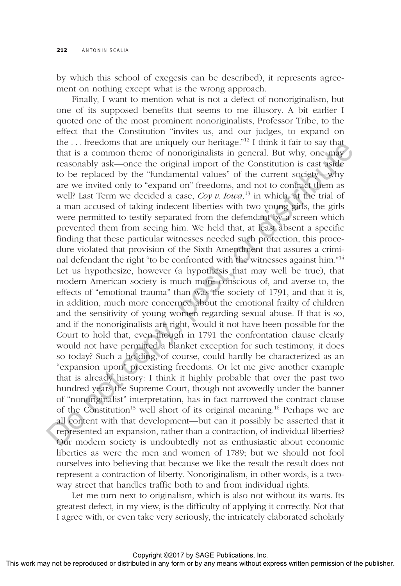by which this school of exegesis can be described), it represents agreement on nothing except what is the wrong approach.

Finally, I want to mention what is not a defect of nonoriginalism, but one of its supposed benefits that seems to me illusory. A bit earlier I quoted one of the most prominent nonoriginalists, Professor Tribe, to the effect that the Constitution "invites us, and our judges, to expand on the  $\ldots$  freedoms that are uniquely our heritage.<sup>"12</sup> I think it fair to say that that is a common theme of nonoriginalists in general. But why, one may reasonably ask—once the original import of the Constitution is cast aside to be replaced by the "fundamental values" of the current society—why are we invited only to "expand on" freedoms, and not to contract them as well? Last Term we decided a case, *Coy v. Iowa*,<sup>13</sup> in which, at the trial of a man accused of taking indecent liberties with two young girls, the girls were permitted to testify separated from the defendant by a screen which prevented them from seeing him. We held that, at least absent a specific finding that these particular witnesses needed such protection, this procedure violated that provision of the Sixth Amendment that assures a criminal defendant the right "to be confronted with the witnesses against him."14 Let us hypothesize, however (a hypothesis that may well be true), that modern American society is much more conscious of, and averse to, the effects of "emotional trauma" than was the society of 1791, and that it is, in addition, much more concerned about the emotional frailty of children and the sensitivity of young women regarding sexual abuse. If that is so, and if the nonoriginalists are right, would it not have been possible for the Court to hold that, even though in 1791 the confrontation clause clearly would not have permitted a blanket exception for such testimony, it does so today? Such a holding, of course, could hardly be characterized as an "expansion upon" preexisting freedoms. Or let me give another example that is already history: I think it highly probable that over the past two hundred years the Supreme Court, though not avowedly under the banner of "nonoriginalist" interpretation, has in fact narrowed the contract clause of the Constitution<sup>15</sup> well short of its original meaning.<sup>16</sup> Perhaps we are all content with that development—but can it possibly be asserted that it represented an expansion, rather than a contraction, of individual liberties? Our modern society is undoubtedly not as enthusiastic about economic liberties as were the men and women of 1789; but we should not fool ourselves into believing that because we like the result the result does not represent a contraction of liberty. Nonoriginalism, in other words, is a twoway street that handles traffic both to and from individual rights. It are constrained in the constrained or distributed in any time with the constrained in the constrained or distributed in the constrained in the constrained in the constrained or the publishe-one constrained or the publis

Let me turn next to originalism, which is also not without its warts. Its greatest defect, in my view, is the difficulty of applying it correctly. Not that I agree with, or even take very seriously, the intricately elaborated scholarly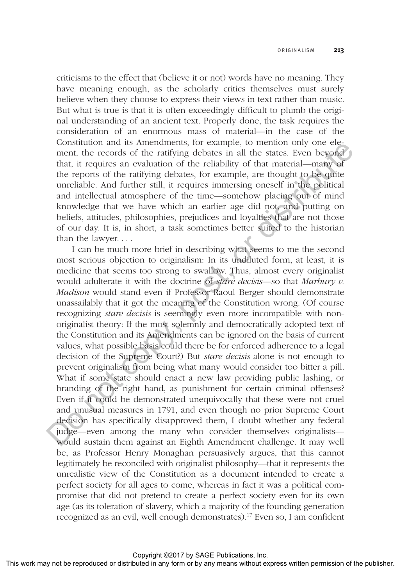criticisms to the effect that (believe it or not) words have no meaning. They have meaning enough, as the scholarly critics themselves must surely believe when they choose to express their views in text rather than music. But what is true is that it is often exceedingly difficult to plumb the original understanding of an ancient text. Properly done, the task requires the consideration of an enormous mass of material—in the case of the Constitution and its Amendments, for example, to mention only one element, the records of the ratifying debates in all the states. Even beyond that, it requires an evaluation of the reliability of that material—many of the reports of the ratifying debates, for example, are thought to be quite unreliable. And further still, it requires immersing oneself in the political and intellectual atmosphere of the time—somehow placing out of mind knowledge that we have which an earlier age did not, and putting on beliefs, attitudes, philosophies, prejudices and loyalties that are not those of our day. It is, in short, a task sometimes better suited to the historian than the lawyer. . . .

I can be much more brief in describing what seems to me the second most serious objection to originalism: In its undiluted form, at least, it is medicine that seems too strong to swallow. Thus, almost every originalist would adulterate it with the doctrine of *stare decisis*—so that *Marbury v. Madison* would stand even if Professor Raoul Berger should demonstrate unassailably that it got the meaning of the Constitution wrong. (Of course recognizing *stare decisis* is seemingly even more incompatible with nonoriginalist theory: If the most solemnly and democratically adopted text of the Constitution and its Amendments can be ignored on the basis of current values, what possible basis could there be for enforced adherence to a legal decision of the Supreme Court?) But *stare decisis* alone is not enough to prevent originalism from being what many would consider too bitter a pill. What if some state should enact a new law providing public lashing, or branding of the right hand, as punishment for certain criminal offenses? Even if it could be demonstrated unequivocally that these were not cruel and unusual measures in 1791, and even though no prior Supreme Court decision has specifically disapproved them, I doubt whether any federal judge—even among the many who consider themselves originalists would sustain them against an Eighth Amendment challenge. It may well be, as Professor Henry Monaghan persuasively argues, that this cannot legitimately be reconciled with originalist philosophy—that it represents the unrealistic view of the Constitution as a document intended to create a perfect society for all ages to come, whereas in fact it was a political compromise that did not pretend to create a perfect society even for its own age (as its toleration of slavery, which a majority of the founding generation recognized as an evil, well enough demonstrates).17 Even so, I am confident This work may not be reproduced or distributed in any form or by any means without express written permission of the publisher. Do not copy, post, or distribute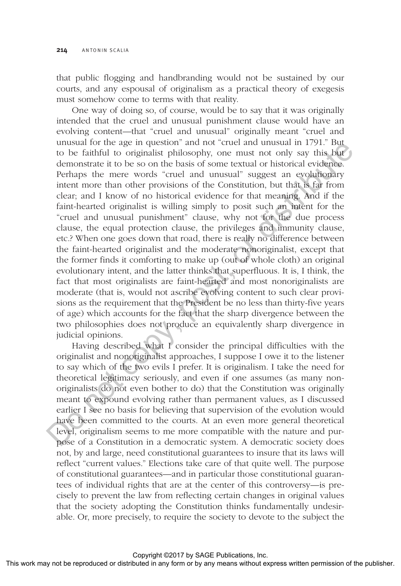that public flogging and handbranding would not be sustained by our courts, and any espousal of originalism as a practical theory of exegesis must somehow come to terms with that reality.

One way of doing so, of course, would be to say that it was originally intended that the cruel and unusual punishment clause would have an evolving content—that "cruel and unusual" originally meant "cruel and unusual for the age in question" and not "cruel and unusual in 1791." But to be faithful to originalist philosophy, one must not only say this but demonstrate it to be so on the basis of some textual or historical evidence. Perhaps the mere words "cruel and unusual" suggest an evolutionary intent more than other provisions of the Constitution, but that is far from clear; and I know of no historical evidence for that meaning. And if the faint-hearted originalist is willing simply to posit such an intent for the "cruel and unusual punishment" clause, why not for the due process clause, the equal protection clause, the privileges and immunity clause, etc.? When one goes down that road, there is really no difference between the faint-hearted originalist and the moderate nonoriginalist, except that the former finds it comforting to make up (out of whole cloth) an original evolutionary intent, and the latter thinks that superfluous. It is, I think, the fact that most originalists are faint-hearted and most nonoriginalists are moderate (that is, would not ascribe evolving content to such clear provisions as the requirement that the President be no less than thirty-five years of age) which accounts for the fact that the sharp divergence between the two philosophies does not produce an equivalently sharp divergence in judicial opinions. In the representation and the publisher and the reproduced or distributed in the best of smooth the reproduced or the reproduced in any form or by any means without expressions of the Constitution, but mind, Safeton comput

Having described what I consider the principal difficulties with the originalist and nonoriginalist approaches, I suppose I owe it to the listener to say which of the two evils I prefer. It is originalism. I take the need for theoretical legitimacy seriously, and even if one assumes (as many nonoriginalists do not even bother to do) that the Constitution was originally meant to expound evolving rather than permanent values, as I discussed earlier I see no basis for believing that supervision of the evolution would have been committed to the courts. At an even more general theoretical level, originalism seems to me more compatible with the nature and purpose of a Constitution in a democratic system. A democratic society does not, by and large, need constitutional guarantees to insure that its laws will reflect "current values." Elections take care of that quite well. The purpose of constitutional guarantees—and in particular those constitutional guarantees of individual rights that are at the center of this controversy—is precisely to prevent the law from reflecting certain changes in original values that the society adopting the Constitution thinks fundamentally undesirable. Or, more precisely, to require the society to devote to the subject the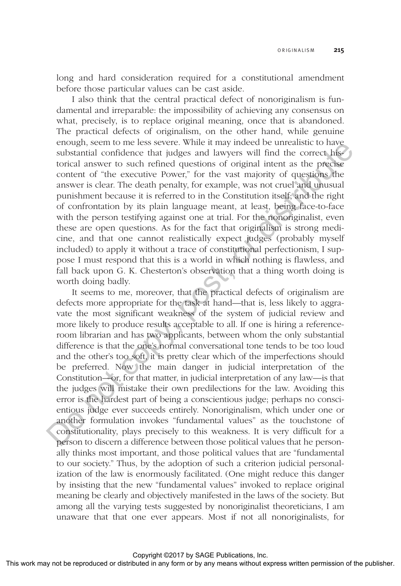long and hard consideration required for a constitutional amendment before those particular values can be cast aside.

I also think that the central practical defect of nonoriginalism is fundamental and irreparable: the impossibility of achieving any consensus on what, precisely, is to replace original meaning, once that is abandoned. The practical defects of originalism, on the other hand, while genuine enough, seem to me less severe. While it may indeed be unrealistic to have substantial confidence that judges and lawyers will find the correct historical answer to such refined questions of original intent as the precise content of "the executive Power," for the vast majority of questions the answer is clear. The death penalty, for example, was not cruel and unusual punishment because it is referred to in the Constitution itself; and the right of confrontation by its plain language meant, at least, being face-to-face with the person testifying against one at trial. For the nonoriginalist, even these are open questions. As for the fact that originalism is strong medicine, and that one cannot realistically expect judges (probably myself included) to apply it without a trace of constitutional perfectionism, I suppose I must respond that this is a world in which nothing is flawless, and fall back upon G. K. Chesterton's observation that a thing worth doing is worth doing badly.

It seems to me, moreover, that the practical defects of originalism are defects more appropriate for the task at hand—that is, less likely to aggravate the most significant weakness of the system of judicial review and more likely to produce results acceptable to all. If one is hiring a referenceroom librarian and has two applicants, between whom the only substantial difference is that the one's normal conversational tone tends to be too loud and the other's too soft, it is pretty clear which of the imperfections should be preferred. Now the main danger in judicial interpretation of the Constitution—or, for that matter, in judicial interpretation of any law—is that the judges will mistake their own predilections for the law. Avoiding this error is the hardest part of being a conscientious judge; perhaps no conscientious judge ever succeeds entirely. Nonoriginalism, which under one or another formulation invokes "fundamental values" as the touchstone of constitutionality, plays precisely to this weakness. It is very difficult for a person to discern a difference between those political values that he personally thinks most important, and those political values that are "fundamental to our society." Thus, by the adoption of such a criterion judicial personalization of the law is enormously facilitated. (One might reduce this danger by insisting that the new "fundamental values" invoked to replace original meaning be clearly and objectively manifested in the laws of the society. But among all the varying tests suggested by nonoriginalist theoreticians, I am unaware that that one ever appears. Most if not all nonoriginalists, for efology, seen to the rest sevent with a transportant or distributed by the reproduced or distributed in any form or by any means were or the publisher or distributed in any for expression of original increasing the rest of

Copyright ©2017 by SAGE Publications, Inc.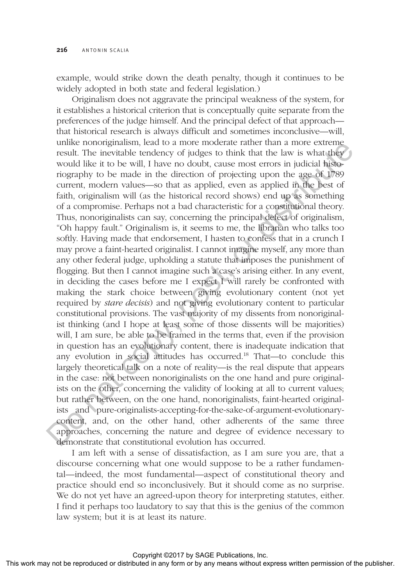example, would strike down the death penalty, though it continues to be widely adopted in both state and federal legislation.)

Originalism does not aggravate the principal weakness of the system, for it establishes a historical criterion that is conceptually quite separate from the preferences of the judge himself. And the principal defect of that approach that historical research is always difficult and sometimes inconclusive—will, unlike nonoriginalism, lead to a more moderate rather than a more extreme result. The inevitable tendency of judges to think that the law is what they would like it to be will, I have no doubt, cause most errors in judicial historiography to be made in the direction of projecting upon the age of 1789 current, modern values—so that as applied, even as applied in the best of faith, originalism will (as the historical record shows) end up as something of a compromise. Perhaps not a bad characteristic for a constitutional theory. Thus, nonoriginalists can say, concerning the principal defect of originalism, "Oh happy fault." Originalism is, it seems to me, the librarian who talks too softly. Having made that endorsement, I hasten to confess that in a crunch I may prove a faint-hearted originalist. I cannot imagine myself, any more than any other federal judge, upholding a statute that imposes the punishment of flogging. But then I cannot imagine such a case's arising either. In any event, in deciding the cases before me I expect I will rarely be confronted with making the stark choice between giving evolutionary content (not yet required by *stare decisis*) and not giving evolutionary content to particular constitutional provisions. The vast majority of my dissents from nonoriginalist thinking (and I hope at least some of those dissents will be majorities) will, I am sure, be able to be framed in the terms that, even if the provision in question has an evolutionary content, there is inadequate indication that any evolution in social attitudes has occurred.18 That—to conclude this largely theoretical talk on a note of reality—is the real dispute that appears in the case: not between nonoriginalists on the one hand and pure originalists on the other, concerning the validity of looking at all to current values; but rather between, on the one hand, nonoriginalists, faint-hearted originalists and pure-originalists-accepting-for-the-sake-of-argument-evolutionarycontent, and, on the other hand, other adherents of the same three approaches, concerning the nature and degree of evidence necessary to demonstrate that constitutional evolution has occurred. mumo totouqued in each or the model in any form or by any form or butted in any form or distributed in a in the reproduct in any form or distributed in any form or butted in any form or butted in any form or butted in any

I am left with a sense of dissatisfaction, as I am sure you are, that a discourse concerning what one would suppose to be a rather fundamental—indeed, the most fundamental—aspect of constitutional theory and practice should end so inconclusively. But it should come as no surprise. We do not yet have an agreed-upon theory for interpreting statutes, either. I find it perhaps too laudatory to say that this is the genius of the common law system; but it is at least its nature.